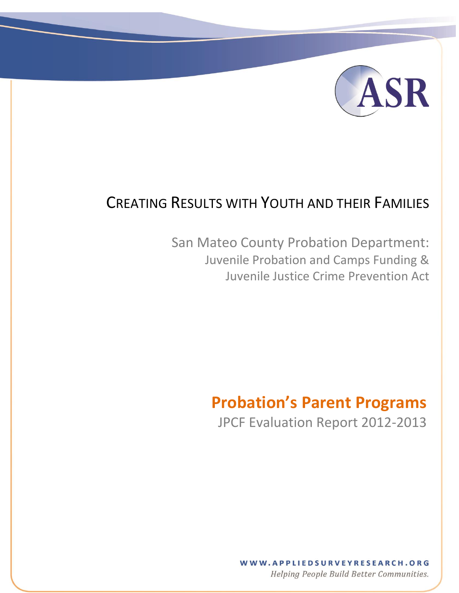

# CREATING RESULTS WITH YOUTH AND THEIR FAMILIES

 $\mathcal{F}(\mathcal{T})$  and the text  $\mathcal{T}(\mathcal{T})$  and the text  $\mathcal{T}(\mathcal{T})$  and the text  $\mathcal{T}(\mathcal{T})$ 

San Mateo County Probation Department: Juvenile Probation and Camps Funding & Juvenile Justice Crime Prevention Act

# **Probation's Parent Programs**

JPCF Evaluation Report 2012-2013

WWW.APPLIEDSURVEYRESEARCH.ORG Helping People Build Better Communities.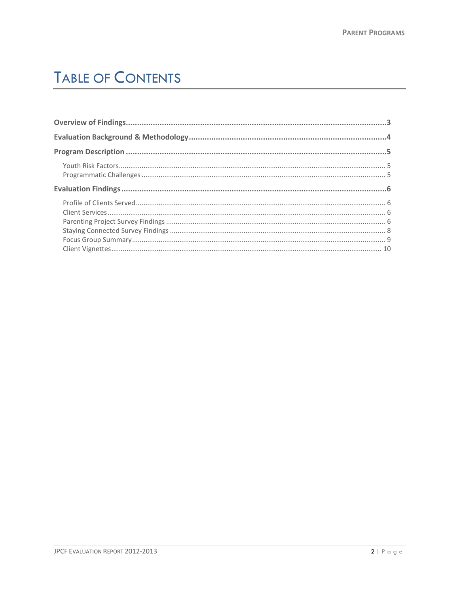# **TABLE OF CONTENTS**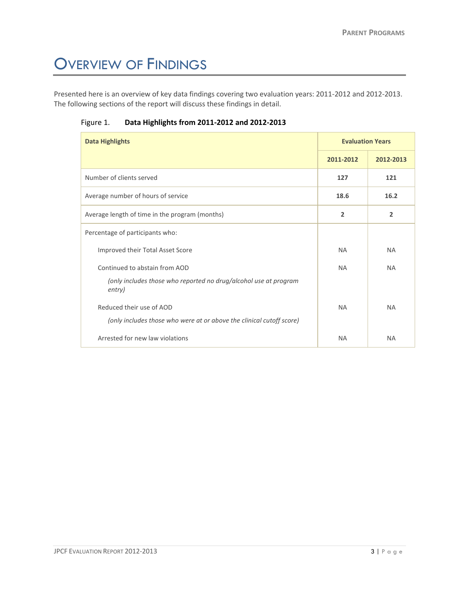# <span id="page-2-0"></span>OVERVIEW OF FINDINGS

Presented here is an overview of key data findings covering two evaluation years: 2011-2012 and 2012-2013. The following sections of the report will discuss these findings in detail.

| <b>Data Highlights</b>                                                     | <b>Evaluation Years</b> |                |
|----------------------------------------------------------------------------|-------------------------|----------------|
|                                                                            | 2011-2012               | 2012-2013      |
| Number of clients served                                                   | 127                     | 121            |
| Average number of hours of service                                         | 18.6                    | 16.2           |
| Average length of time in the program (months)                             | $\overline{2}$          | $\overline{2}$ |
| Percentage of participants who:                                            |                         |                |
| Improved their Total Asset Score                                           | <b>NA</b>               | <b>NA</b>      |
| Continued to abstain from AOD                                              | <b>NA</b>               | <b>NA</b>      |
| (only includes those who reported no drug/alcohol use at program<br>entry) |                         |                |
| Reduced their use of AOD                                                   | <b>NA</b>               | <b>NA</b>      |
| (only includes those who were at or above the clinical cutoff score)       |                         |                |
| Arrested for new law violations                                            | <b>NA</b>               | <b>NA</b>      |

Figure 1. **Data Highlights from 2011-2012 and 2012-2013**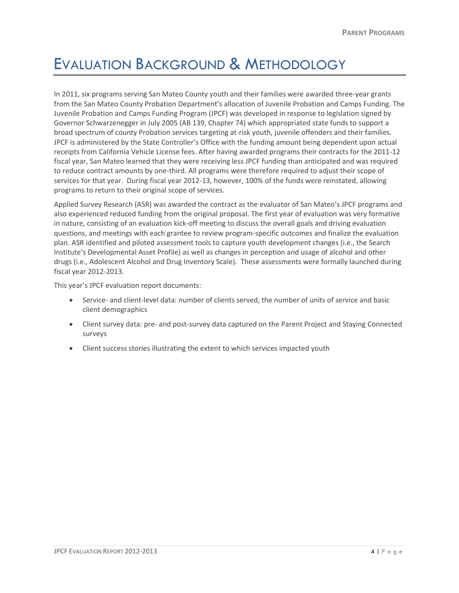# <span id="page-3-0"></span>EVALUATION BACKGROUND & METHODOLOGY

In 2011, six programs serving San Mateo County youth and their families were awarded three-year grants from the San Mateo County Probation Department's allocation of Juvenile Probation and Camps Funding. The Juvenile Probation and Camps Funding Program (JPCF) was developed in response to legislation signed by Governor Schwarzenegger in July 2005 (AB 139, Chapter 74) which appropriated state funds to support a broad spectrum of county Probation services targeting at-risk youth, juvenile offenders and their families. JPCF is administered by the State Controller's Office with the funding amount being dependent upon actual receipts from California Vehicle License fees. After having awarded programs their contracts for the 2011-12 fiscal year, San Mateo learned that they were receiving less JPCF funding than anticipated and was required to reduce contract amounts by one-third. All programs were therefore required to adjust their scope of services for that year. During fiscal year 2012-13, however, 100% of the funds were reinstated, allowing programs to return to their original scope of services.

Applied Survey Research (ASR) was awarded the contract as the evaluator of San Mateo's JPCF programs and also experienced reduced funding from the original proposal. The first year of evaluation was very formative in nature, consisting of an evaluation kick-off meeting to discuss the overall goals and driving evaluation questions, and meetings with each grantee to review program-specific outcomes and finalize the evaluation plan. ASR identified and piloted assessment tools to capture youth development changes (i.e., the Search Institute's Developmental Asset Profile) as well as changes in perception and usage of alcohol and other drugs (i.e., Adolescent Alcohol and Drug Inventory Scale). These assessments were formally launched during fiscal year 2012-2013.

This year's JPCF evaluation report documents:

- Service- and client-level data: number of clients served, the number of units of service and basic client demographics
- Client survey data: pre- and post-survey data captured on the Parent Project and Staying Connected surveys
- Client success stories illustrating the extent to which services impacted youth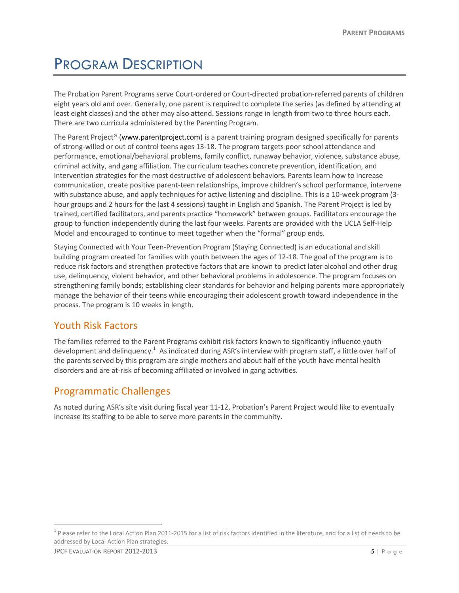# <span id="page-4-0"></span>PROGRAM DESCRIPTION

The Probation Parent Programs serve Court-ordered or Court-directed probation-referred parents of children eight years old and over. Generally, one parent is required to complete the series (as defined by attending at least eight classes) and the other may also attend. Sessions range in length from two to three hours each. There are two curricula administered by the Parenting Program.

The Parent Project® [\(www.parentproject.com\)](http://www.parentproject.com/) is a parent training program designed specifically for parents of strong-willed or out of control teens ages 13-18. The program targets poor school attendance and performance, emotional/behavioral problems, family conflict, runaway behavior, violence, substance abuse, criminal activity, and gang affiliation. The curriculum teaches concrete prevention, identification, and intervention strategies for the most destructive of adolescent behaviors. Parents learn how to increase communication, create positive parent-teen relationships, improve children's school performance, intervene with substance abuse, and apply techniques for active listening and discipline. This is a 10-week program (3 hour groups and 2 hours for the last 4 sessions) taught in English and Spanish. The Parent Project is led by trained, certified facilitators, and parents practice "homework" between groups. Facilitators encourage the group to function independently during the last four weeks. Parents are provided with the UCLA Self-Help Model and encouraged to continue to meet together when the "formal" group ends.

Staying Connected with Your Teen-Prevention Program (Staying Connected) is an educational and skill building program created for families with youth between the ages of 12-18. The goal of the program is to reduce risk factors and strengthen protective factors that are known to predict later alcohol and other drug use, delinquency, violent behavior, and other behavioral problems in adolescence. The program focuses on strengthening family bonds; establishing clear standards for behavior and helping parents more appropriately manage the behavior of their teens while encouraging their adolescent growth toward independence in the process. The program is 10 weeks in length.

### <span id="page-4-1"></span>Youth Risk Factors

The families referred to the Parent Programs exhibit risk factors known to significantly influence youth development and delinquency.<sup>1</sup> As indicated during ASR's interview with program staff, a little over half of the parents served by this program are single mothers and about half of the youth have mental health disorders and are at-risk of becoming affiliated or involved in gang activities.

### <span id="page-4-2"></span>Programmatic Challenges

As noted during ASR's site visit during fiscal year 11-12, Probation's Parent Project would like to eventually increase its staffing to be able to serve more parents in the community.

 $\overline{a}$ 

 $^1$  Please refer to the Local Action Plan 2011-2015 for a list of risk factors identified in the literature, and for a list of needs to be addressed by Local Action Plan strategies.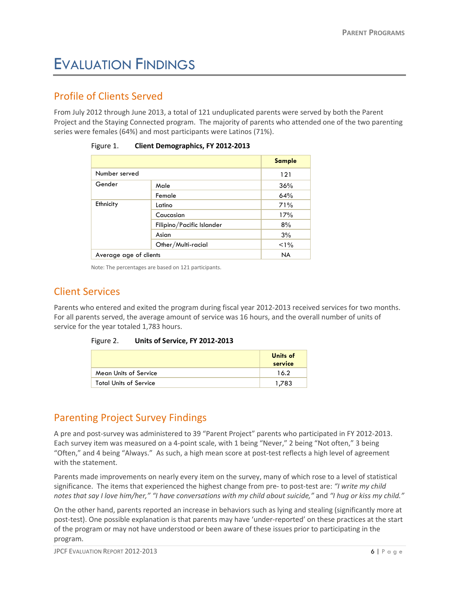# <span id="page-5-0"></span>EVALUATION FINDINGS

### <span id="page-5-1"></span>Profile of Clients Served

From July 2012 through June 2013, a total of 121 unduplicated parents were served by both the Parent Project and the Staying Connected program. The majority of parents who attended one of the two parenting series were females (64%) and most participants were Latinos (71%).

|                        |                           | <b>Sample</b> |
|------------------------|---------------------------|---------------|
| Number served          |                           | 121           |
| Gender                 | Male                      | 36%           |
|                        | Female                    | 64%           |
| Ethnicity              | Latino                    | 71%           |
|                        | Caucasian                 | 17%           |
|                        | Filipino/Pacific Islander | 8%            |
|                        | Asian                     | 3%            |
|                        | Other/Multi-racial        | $1\%$         |
| Average age of clients |                           | <b>NA</b>     |

| Figure 1. | <b>Client Demographics, FY 2012-2013</b> |
|-----------|------------------------------------------|
|-----------|------------------------------------------|

Note: The percentages are based on 121 participants.

### <span id="page-5-2"></span>Client Services

Parents who entered and exited the program during fiscal year 2012-2013 received services for two months. For all parents served, the average amount of service was 16 hours, and the overall number of units of service for the year totaled 1,783 hours.

#### Figure 2. **Units of Service, FY 2012-2013**

|                               | Units of<br>service |
|-------------------------------|---------------------|
| Mean Units of Service         | 16.2                |
| <b>Total Units of Service</b> | 1.783               |

### <span id="page-5-3"></span>Parenting Project Survey Findings

A pre and post-survey was administered to 39 "Parent Project" parents who participated in FY 2012-2013. Each survey item was measured on a 4-point scale, with 1 being "Never," 2 being "Not often," 3 being "Often," and 4 being "Always." As such, a high mean score at post-test reflects a high level of agreement with the statement.

Parents made improvements on nearly every item on the survey, many of which rose to a level of statistical significance. The items that experienced the highest change from pre- to post-test are: *"I write my child notes that say I love him/her," "I have conversations with my child about suicide,"* and *"I hug or kiss my child."*

On the other hand, parents reported an increase in behaviors such as lying and stealing (significantly more at post-test). One possible explanation is that parents may have 'under-reported' on these practices at the start of the program or may not have understood or been aware of these issues prior to participating in the program.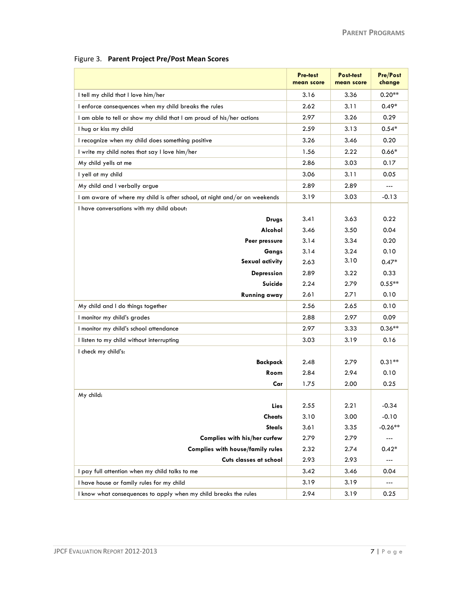|  | Figure 3. Parent Project Pre/Post Mean Scores |  |
|--|-----------------------------------------------|--|
|--|-----------------------------------------------|--|

|                                                                           | Pre-test<br>mean score | Post-test<br>mean score | <b>Pre/Post</b><br>change |
|---------------------------------------------------------------------------|------------------------|-------------------------|---------------------------|
| I tell my child that I love him/her                                       | 3.16                   | 3.36                    | $0.20**$                  |
| I enforce consequences when my child breaks the rules                     | 2.62                   | 3.11                    | $0.49*$                   |
| I am able to tell or show my child that I am proud of his/her actions     | 2.97                   | 3.26                    | 0.29                      |
| I hug or kiss my child                                                    | 2.59                   | 3.13                    | $0.54*$                   |
| I recognize when my child does something positive                         | 3.26                   | 3.46                    | 0.20                      |
| I write my child notes that say I love him/her                            | 1.56                   | 2.22                    | $0.66*$                   |
| My child yells at me                                                      | 2.86                   | 3.03                    | 0.17                      |
| I yell at my child                                                        | 3.06                   | 3.11                    | 0.05                      |
| My child and I verbally argue                                             | 2.89                   | 2.89                    | ---                       |
| I am aware of where my child is after school, at night and/or on weekends | 3.19                   | 3.03                    | $-0.13$                   |
| I have conversations with my child about:                                 |                        |                         |                           |
| <b>Drugs</b>                                                              | 3.41                   | 3.63                    | 0.22                      |
| Alcohol                                                                   | 3.46                   | 3.50                    | 0.04                      |
| Peer pressure                                                             | 3.14                   | 3.34                    | 0.20                      |
| Gangs                                                                     | 3.14                   | 3.24                    | 0.10                      |
| Sexual activity                                                           | 2.63                   | 3.10                    | $0.47*$                   |
| Depression                                                                | 2.89                   | 3.22                    | 0.33                      |
| Suicide                                                                   | 2.24                   | 2.79                    | $0.55**$                  |
| <b>Running away</b>                                                       | 2.61                   | 2.71                    | 0.10                      |
| My child and I do things together                                         | 2.56                   | 2.65                    | 0.10                      |
| I monitor my child's grades                                               | 2.88                   | 2.97                    | 0.09                      |
| I monitor my child's school attendance                                    | 2.97                   | 3.33                    | $0.36**$                  |
| I listen to my child without interrupting                                 | 3.03                   | 3.19                    | 0.16                      |
| I check my child's:                                                       |                        |                         |                           |
| <b>Backpack</b>                                                           | 2.48                   | 2.79                    | $0.31**$                  |
| Room                                                                      | 2.84                   | 2.94                    | 0.10                      |
| Car                                                                       | 1.75                   | 2.00                    | 0.25                      |
| My child:                                                                 |                        |                         |                           |
| Lies                                                                      | 2.55                   | 2.21                    | -0.34                     |
| <b>Cheats</b>                                                             | 3.10                   | 3.00                    | $-0.10$                   |
| <b>Steals</b>                                                             | 3.61                   | 3.35                    | $-0.26**$                 |
| Complies with his/her curfew                                              | 2.79                   | 2.79                    | ---                       |
| <b>Complies with house/family rules</b>                                   | 2.32                   | 2.74                    | $0.42*$                   |
| Cuts classes at school                                                    | 2.93                   | 2.93                    | ---                       |
| I pay full attention when my child talks to me                            | 3.42                   | 3.46                    | 0.04                      |
| I have house or family rules for my child                                 | 3.19                   | 3.19                    | ---                       |
| I know what consequences to apply when my child breaks the rules          | 2.94                   | 3.19                    | 0.25                      |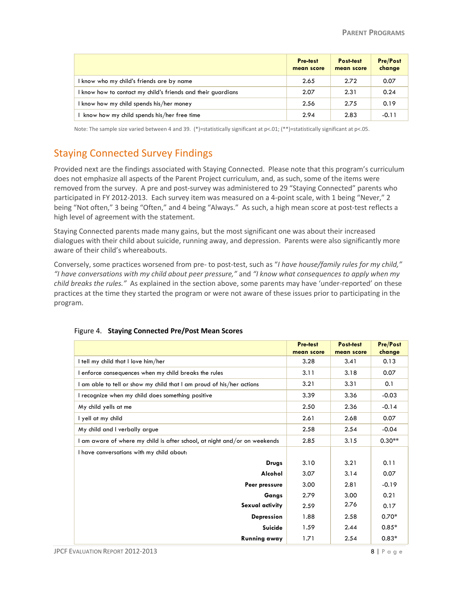|                                                              | <b>Pre-test</b><br>mean score | Post-test<br>mean score | <b>Pre/Post</b><br>change |
|--------------------------------------------------------------|-------------------------------|-------------------------|---------------------------|
| I know who my child's friends are by name                    | 2.65                          | 2.72                    | 0.07                      |
| I know how to contact my child's friends and their guardians | 2.07                          | 2.31                    | 0.24                      |
| know how my child spends his/her money                       | 2.56                          | 2.75                    | 0.19                      |
| know how my child spends his/her free time                   | 2.94                          | 2.83                    | $-0.11$                   |

Note: The sample size varied between 4 and 39. (\*)=statistically significant at p<.01; (\*\*)=statistically significant at p<.05.

## <span id="page-7-0"></span>Staying Connected Survey Findings

Provided next are the findings associated with Staying Connected. Please note that this program's curriculum does not emphasize all aspects of the Parent Project curriculum, and, as such, some of the items were removed from the survey. A pre and post-survey was administered to 29 "Staying Connected" parents who participated in FY 2012-2013. Each survey item was measured on a 4-point scale, with 1 being "Never," 2 being "Not often," 3 being "Often," and 4 being "Always." As such, a high mean score at post-test reflects a high level of agreement with the statement.

Staying Connected parents made many gains, but the most significant one was about their increased dialogues with their child about suicide, running away, and depression. Parents were also significantly more aware of their child's whereabouts.

Conversely, some practices worsened from pre- to post-test, such as "*I have house/family rules for my child," "I have conversations with my child about peer pressure,"* and *"I know what consequences to apply when my child breaks the rules."* As explained in the section above, some parents may have 'under-reported' on these practices at the time they started the program or were not aware of these issues prior to participating in the program.

|                                                                           | Pre-test   | Post-test  | <b>Pre/Post</b> |
|---------------------------------------------------------------------------|------------|------------|-----------------|
|                                                                           | mean score | mean score | change          |
| I tell my child that I love him/her                                       | 3.28       | 3.41       | 0.13            |
| I enforce consequences when my child breaks the rules                     | 3.11       | 3.18       | 0.07            |
| I am able to tell or show my child that I am proud of his/her actions     | 3.21       | 3.31       | 0.1             |
| I recognize when my child does something positive                         | 3.39       | 3.36       | $-0.03$         |
| My child yells at me                                                      | 2.50       | 2.36       | $-0.14$         |
| I yell at my child                                                        | 2.61       | 2.68       | 0.07            |
| My child and I verbally argue                                             | 2.58       | 2.54       | $-0.04$         |
| I am aware of where my child is after school, at night and/or on weekends | 2.85       | 3.15       | $0.30**$        |
| I have conversations with my child about:                                 |            |            |                 |
| <b>Drugs</b>                                                              | 3.10       | 3.21       | 0.11            |
| Alcohol                                                                   | 3.07       | 3.14       | 0.07            |
| Peer pressure                                                             | 3.00       | 2.81       | $-0.19$         |
| Gangs                                                                     | 2.79       | 3.00       | 0.21            |
| Sexual activity                                                           | 2.59       | 2.76       | 0.17            |
| <b>Depression</b>                                                         | 1.88       | 2.58       | $0.70*$         |
| Suicide                                                                   | 1.59       | 2.44       | $0.85*$         |
| Running away                                                              | 1.71       | 2.54       | $0.83*$         |

#### Figure 4. **Staying Connected Pre/Post Mean Scores**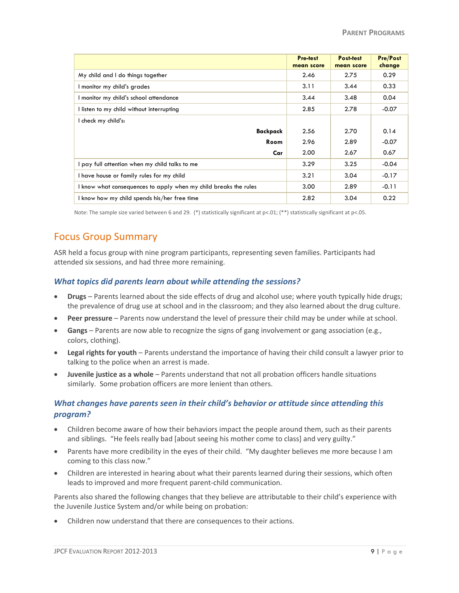|                                                                  | Pre-test<br>mean score | Post-test<br>mean score | <b>Pre/Post</b><br>change |
|------------------------------------------------------------------|------------------------|-------------------------|---------------------------|
| My child and I do things together                                | 2.46                   | 2.75                    | 0.29                      |
| I monitor my child's grades                                      | 3.11                   | 3.44                    | 0.33                      |
| I monitor my child's school attendance                           | 3.44                   | 3.48                    | 0.04                      |
| I listen to my child without interrupting                        | 2.85                   | 2.78                    | $-0.07$                   |
| I check my child's:                                              |                        |                         |                           |
| Backpack                                                         | 2.56                   | 2.70                    | 0.14                      |
| Room                                                             | 2.96                   | 2.89                    | $-0.07$                   |
| Car                                                              | 2.00                   | 2.67                    | 0.67                      |
| I pay full attention when my child talks to me                   | 3.29                   | 3.25                    | $-0.04$                   |
| I have house or family rules for my child                        | 3.21                   | 3.04                    | $-0.17$                   |
| I know what consequences to apply when my child breaks the rules | 3.00                   | 2.89                    | $-0.11$                   |
| I know how my child spends his/her free time                     | 2.82                   | 3.04                    | 0.22                      |

Note: The sample size varied between 6 and 29. (\*) statistically significant at p<.01; (\*\*) statistically significant at p<.05.

### <span id="page-8-0"></span>Focus Group Summary

ASR held a focus group with nine program participants, representing seven families. Participants had attended six sessions, and had three more remaining.

#### *What topics did parents learn about while attending the sessions?*

- **Drugs** Parents learned about the side effects of drug and alcohol use; where youth typically hide drugs; the prevalence of drug use at school and in the classroom; and they also learned about the drug culture.
- **Peer pressure** Parents now understand the level of pressure their child may be under while at school.
- **Gangs** Parents are now able to recognize the signs of gang involvement or gang association (e.g., colors, clothing).
- **Legal rights for youth** Parents understand the importance of having their child consult a lawyer prior to talking to the police when an arrest is made.
- **Juvenile justice as a whole** Parents understand that not all probation officers handle situations similarly. Some probation officers are more lenient than others.

### *What changes have parents seen in their child's behavior or attitude since attending this program?*

- Children become aware of how their behaviors impact the people around them, such as their parents and siblings. "He feels really bad [about seeing his mother come to class] and very guilty."
- Parents have more credibility in the eyes of their child. "My daughter believes me more because I am coming to this class now."
- Children are interested in hearing about what their parents learned during their sessions, which often leads to improved and more frequent parent-child communication.

Parents also shared the following changes that they believe are attributable to their child's experience with the Juvenile Justice System and/or while being on probation:

Children now understand that there are consequences to their actions.